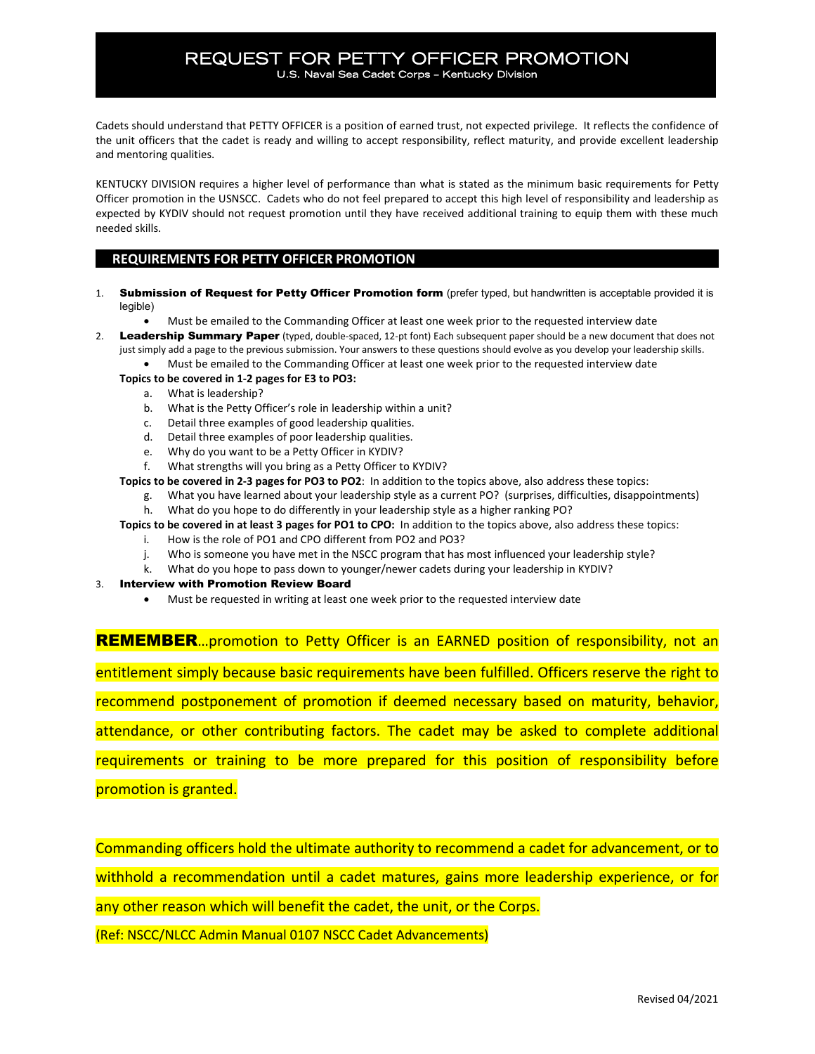Cadets should understand that PETTY OFFICER is a position of earned trust, not expected privilege. It reflects the confidence of the unit officers that the cadet is ready and willing to accept responsibility, reflect maturity, and provide excellent leadership and mentoring qualities.

KENTUCKY DIVISION requires a higher level of performance than what is stated as the minimum basic requirements for Petty Officer promotion in the USNSCC. Cadets who do not feel prepared to accept this high level of responsibility and leadership as expected by KYDIV should not request promotion until they have received additional training to equip them with these much needed skills.

## **REQUIREMENTS FOR PETTY OFFICER PROMOTION**

- 1. Submission of Request for Petty Officer Promotion form (prefer typed, but handwritten is acceptable provided it is legible)
	- Must be emailed to the Commanding Officer at least one week prior to the requested interview date
- 2. Leadership Summary Paper (typed, double-spaced, 12-pt font) Each subsequent paper should be a new document that does not just simply add a page to the previous submission. Your answers to these questions should evolve as you develop your leadership skills.
	- Must be emailed to the Commanding Officer at least one week prior to the requested interview date

### **Topics to be covered in 1-2 pages for E3 to PO3:**

- a. What is leadership?
- b. What is the Petty Officer's role in leadership within a unit?
- c. Detail three examples of good leadership qualities.
- d. Detail three examples of poor leadership qualities.
- e. Why do you want to be a Petty Officer in KYDIV?
- f. What strengths will you bring as a Petty Officer to KYDIV?

#### **Topics to be covered in 2-3 pages for PO3 to PO2**: In addition to the topics above, also address these topics:

g. What you have learned about your leadership style as a current PO? (surprises, difficulties, disappointments) h. What do you hope to do differently in your leadership style as a higher ranking PO?

**Topics to be covered in at least 3 pages for PO1 to CPO:** In addition to the topics above, also address these topics:

- i. How is the role of PO1 and CPO different from PO2 and PO3?
- j. Who is someone you have met in the NSCC program that has most influenced your leadership style?
- k. What do you hope to pass down to younger/newer cadets during your leadership in KYDIV?
- 3. Interview with Promotion Review Board
	- Must be requested in writing at least one week prior to the requested interview date

**REMEMBER**...promotion to Petty Officer is an EARNED position of responsibility, not an entitlement simply because basic requirements have been fulfilled. Officers reserve the right to recommend postponement of promotion if deemed necessary based on maturity, behavior, attendance, or other contributing factors. The cadet may be asked to complete additional requirements or training to be more prepared for this position of responsibility before promotion is granted.

Commanding officers hold the ultimate authority to recommend a cadet for advancement, or to withhold a recommendation until a cadet matures, gains more leadership experience, or for

any other reason which will benefit the cadet, the unit, or the Corps.

(Ref: NSCC/NLCC Admin Manual 0107 NSCC Cadet Advancements)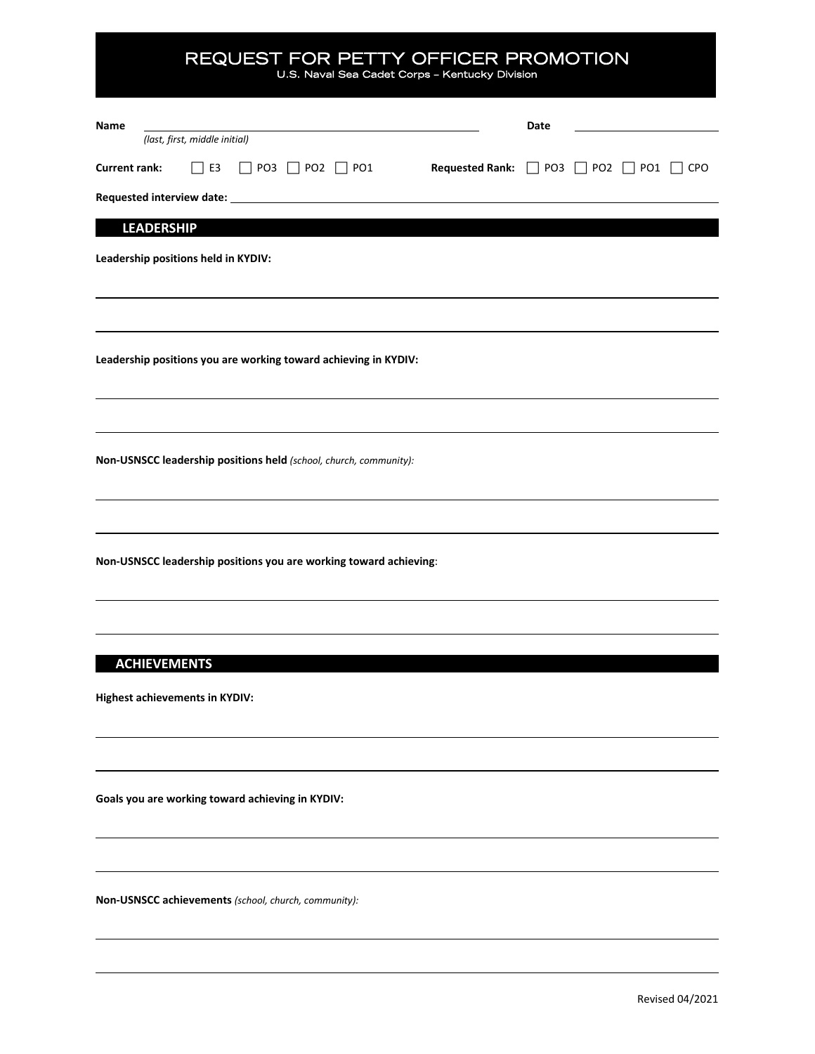# REQUEST FOR PETTY OFFICER PROMOTION U.S. Naval Sea Cadet Corps – Kentucky Division

| Name<br>(last, first, middle initial)                                                                            | Date |  |  |
|------------------------------------------------------------------------------------------------------------------|------|--|--|
| <b>Current rank:</b><br>$\Box$ E3<br>Requested Rank: □ PO3 □ PO2 □ PO1 □ CPO<br>$\Box$ PO3 $\Box$ PO2 $\Box$ PO1 |      |  |  |
|                                                                                                                  |      |  |  |
| <b>LEADERSHIP</b>                                                                                                |      |  |  |
| Leadership positions held in KYDIV:                                                                              |      |  |  |
|                                                                                                                  |      |  |  |
| Leadership positions you are working toward achieving in KYDIV:                                                  |      |  |  |
|                                                                                                                  |      |  |  |
| Non-USNSCC leadership positions held (school, church, community):                                                |      |  |  |
|                                                                                                                  |      |  |  |
| Non-USNSCC leadership positions you are working toward achieving:                                                |      |  |  |
|                                                                                                                  |      |  |  |
|                                                                                                                  |      |  |  |
| <b>ACHIEVEMENTS</b>                                                                                              |      |  |  |
| Highest achievements in KYDIV:                                                                                   |      |  |  |
|                                                                                                                  |      |  |  |
|                                                                                                                  |      |  |  |

**Goals you are working toward achieving in KYDIV:**

**Non-USNSCC achievements** *(school, church, community):*